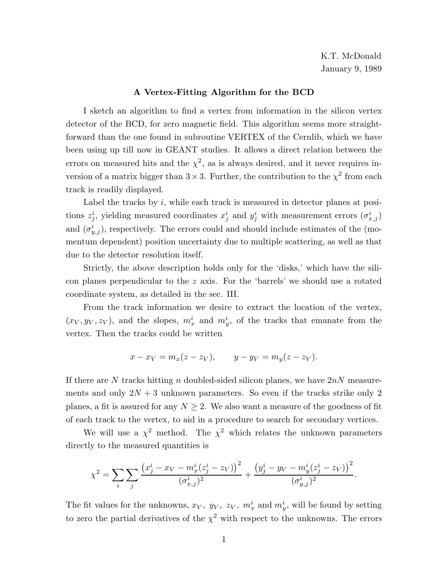### **A Vertex-Fitting Algorithm for the BCD**

I sketch an algorithm to find a vertex from information in the silicon vertex detector of the BCD, for zero magnetic field. This algorithm seems more straightforward than the one found in subroutine VERTEX of the Cernlib, which we have been using up till now in GEANT studies. It allows a direct relation between the errors on measured hits and the  $\chi^2$ , as is always desired, and it never requires inversion of a matrix bigger than  $3 \times 3$ . Further, the contribution to the  $\chi^2$  from each track is readily displayed.

Label the tracks by  $i$ , while each track is measured in detector planes at positions  $z_j^i$ , yielding measured coordinates  $x_j^i$  and  $y_j^i$  with measurement errors  $(\sigma_{x,j}^i)$ and  $(\sigma_{y,j}^i)$ , respectively. The errors could and should include estimates of the (momentum dependent) position uncertainty due to multiple scattering, as well as that due to the detector resolution itself.

Strictly, the above description holds only for the 'disks,' which have the silicon planes perpendicular to the  $z$  axis. For the 'barrels' we should use a rotated coordinate system, as detailed in the sec. III.

From the track information we desire to extract the location of the vertex,  $(x_V, y_V, z_V)$ , and the slopes,  $m_x^i$  and  $m_y^i$ , of the tracks that emanate from the vertex. Then the tracks could be written

$$
x - x_V = m_x(z - z_V),
$$
  $y - y_V = m_y(z - z_V).$ 

If there are N tracks hitting n doubled-sided silicon planes, we have  $2nN$  measurements and only  $2N + 3$  unknown parameters. So even if the tracks strike only 2 planes, a fit is assured for any  $N \geq 2$ . We also want a measure of the goodness of fit of each track to the vertex, to aid in a procedure to search for secondary vertices.

We will use a  $\chi^2$  method. The  $\chi^2$  which relates the unknown parameters directly to the measured quantities is

$$
\chi^{2} = \sum_{i} \sum_{j} \frac{(x_{j}^{i} - x_{V} - m_{x}^{i}(z_{j}^{i} - z_{V}))^{2}}{(\sigma_{x,j}^{i})^{2}} + \frac{(y_{j}^{i} - y_{V} - m_{y}^{i}(z_{j}^{i} - z_{V}))^{2}}{(\sigma_{y,j}^{i})^{2}}.
$$

The fit values for the unknowns,  $x_V$ ,  $y_V$ ,  $z_V$ ,  $m_x^i$  and  $m_y^i$ , will be found by setting to zero the partial derivatives of the  $\chi^2$  with respect to the unknowns. The errors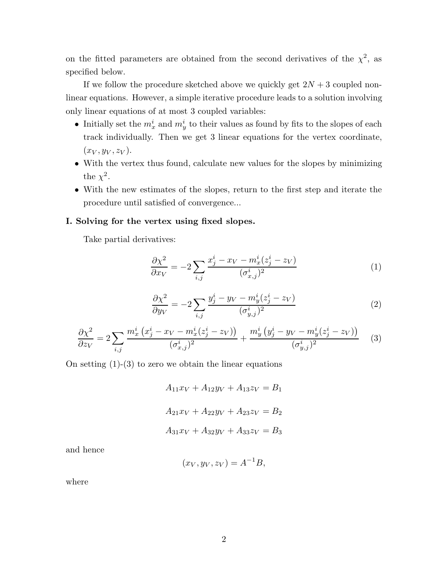on the fitted parameters are obtained from the second derivatives of the  $\chi^2$ , as specified below.

If we follow the procedure sketched above we quickly get  $2N + 3$  coupled nonlinear equations. However, a simple iterative procedure leads to a solution involving only linear equations of at most 3 coupled variables:

- Initially set the  $m_x^i$  and  $m_y^i$  to their values as found by fits to the slopes of each track individually. Then we get 3 linear equations for the vertex coordinate,  $(x_V, y_V, z_V)$ .
- With the vertex thus found, calculate new values for the slopes by minimizing the  $\chi^2$ .
- With the new estimates of the slopes, return to the first step and iterate the procedure until satisfied of convergence...

## **I. Solving for the vertex using fixed slopes.**

Take partial derivatives:

$$
\frac{\partial \chi^2}{\partial x_V} = -2 \sum_{i,j} \frac{x_j^i - x_V - m_x^i (z_j^i - z_V)}{(\sigma_{x,j}^i)^2}
$$
(1)

$$
\frac{\partial \chi^2}{\partial y_V} = -2 \sum_{i,j} \frac{y_j^i - y_V - m_y^i (z_j^i - z_V)}{(\sigma_{y,j}^i)^2} \tag{2}
$$

$$
\frac{\partial \chi^2}{\partial z_V} = 2 \sum_{i,j} \frac{m_x^i (x_j^i - x_V - m_x^i (z_j^i - z_V))}{(\sigma_{x,j}^i)^2} + \frac{m_y^i (y_j^i - y_V - m_y^i (z_j^i - z_V))}{(\sigma_{y,j}^i)^2} \tag{3}
$$

On setting  $(1)-(3)$  to zero we obtain the linear equations

$$
A_{11}x_V + A_{12}y_V + A_{13}z_V = B_1
$$
  

$$
A_{21}x_V + A_{22}y_V + A_{23}z_V = B_2
$$
  

$$
A_{31}x_V + A_{32}y_V + A_{33}z_V = B_3
$$

and hence

$$
(x_V, y_V, z_V) = A^{-1}B,
$$

where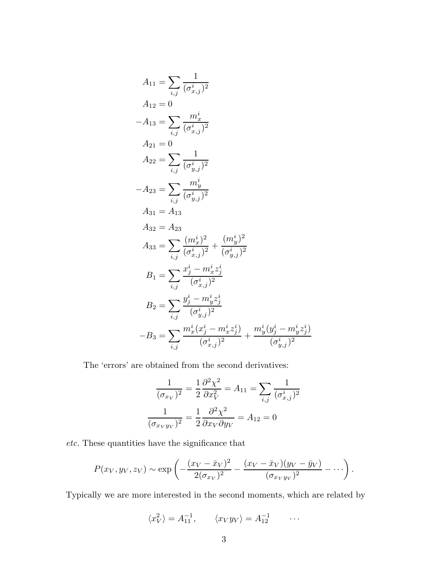$$
A_{11} = \sum_{i,j} \frac{1}{(\sigma_{x,j}^i)^2}
$$
  
\n
$$
A_{12} = 0
$$
  
\n
$$
-A_{13} = \sum_{i,j} \frac{m_x^i}{(\sigma_{x,j}^i)^2}
$$
  
\n
$$
A_{21} = 0
$$
  
\n
$$
A_{22} = \sum_{i,j} \frac{1}{(\sigma_{y,j}^i)^2}
$$
  
\n
$$
-A_{23} = \sum_{i,j} \frac{m_y^i}{(\sigma_{y,j}^i)^2}
$$
  
\n
$$
A_{31} = A_{13}
$$
  
\n
$$
A_{32} = A_{23}
$$
  
\n
$$
A_{33} = \sum_{i,j} \frac{(m_x^i)^2}{(\sigma_{x,j}^i)^2} + \frac{(m_y^i)^2}{(\sigma_{y,j}^i)^2}
$$
  
\n
$$
B_1 = \sum_{i,j} \frac{x_j^i - m_x^i z_j^i}{(\sigma_{x,j}^i)^2}
$$
  
\n
$$
B_2 = \sum_{i,j} \frac{y_j^i - m_y^i z_j^i}{(\sigma_{y,j}^i)^2}
$$
  
\n
$$
-B_3 = \sum_{i,j} \frac{m_x^i (x_j^i - m_x^i z_j^i)}{(\sigma_{x,j}^i)^2} + \frac{m_y^i (y_j^i - m_y^i z_j^i)}{(\sigma_{y,j}^i)^2}
$$

The 'errors' are obtained from the second derivatives:

$$
\frac{1}{(\sigma_{x_V})^2} = \frac{1}{2} \frac{\partial^2 \chi^2}{\partial x_V^2} = A_{11} = \sum_{i,j} \frac{1}{(\sigma_{x,j}^i)^2}
$$

$$
\frac{1}{(\sigma_{x_V y_V})^2} = \frac{1}{2} \frac{\partial^2 \chi^2}{\partial x_V \partial y_V} = A_{12} = 0
$$

*etc.* These quantities have the significance that

$$
P(x_V, y_V, z_V) \sim \exp\left(-\frac{(x_V - \bar{x}_V)^2}{2(\sigma_{x_V})^2} - \frac{(x_V - \bar{x}_V)(y_V - \bar{y}_V)}{(\sigma_{x_V y_V})^2} - \cdots\right).
$$

Typically we are more interested in the second moments, which are related by

$$
\langle x_V^2 \rangle = A_{11}^{-1}, \qquad \langle x_V y_V \rangle = A_{12}^{-1} \qquad \dots
$$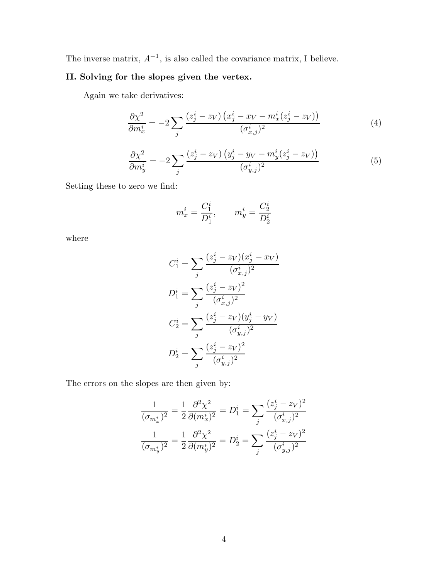The inverse matrix,  $A^{-1}$ , is also called the covariance matrix, I believe.

# **II. Solving for the slopes given the vertex.**

Again we take derivatives:

$$
\frac{\partial \chi^2}{\partial m_x^i} = -2 \sum_j \frac{\left(z_j^i - z_V\right) \left(x_j^i - x_V - m_x^i (z_j^i - z_V)\right)}{\left(\sigma_{x,j}^i\right)^2} \tag{4}
$$

$$
\frac{\partial \chi^2}{\partial m_y^i} = -2 \sum_j \frac{\left(z_j^i - z_V\right) \left(y_j^i - y_V - m_y^i (z_j^i - z_V)\right)}{(\sigma_{y,j}^i)^2} \tag{5}
$$

Setting these to zero we find:

$$
m_x^i = \frac{C_1^i}{D_1^i}, \qquad m_y^i = \frac{C_2^i}{D_2^i}
$$

where

$$
C_1^i = \sum_j \frac{(z_j^i - z_V)(x_j^i - x_V)}{(\sigma_{x,j}^i)^2}
$$
  
\n
$$
D_1^i = \sum_j \frac{(z_j^i - z_V)^2}{(\sigma_{x,j}^i)^2}
$$
  
\n
$$
C_2^i = \sum_j \frac{(z_j^i - z_V)(y_j^i - y_V)}{(\sigma_{y,j}^i)^2}
$$
  
\n
$$
D_2^i = \sum_j \frac{(z_j^i - z_V)^2}{(\sigma_{y,j}^i)^2}
$$

The errors on the slopes are then given by:

$$
\frac{1}{(\sigma_{m_x^i})^2} = \frac{1}{2} \frac{\partial^2 \chi^2}{\partial (m_x^i)^2} = D_1^i = \sum_j \frac{(z_j^i - z_V)^2}{(\sigma_{x,j}^i)^2}
$$

$$
\frac{1}{(\sigma_{m_y^i})^2} = \frac{1}{2} \frac{\partial^2 \chi^2}{\partial (m_y^i)^2} = D_2^i = \sum_j \frac{(z_j^i - z_V)^2}{(\sigma_{y,j}^i)^2}
$$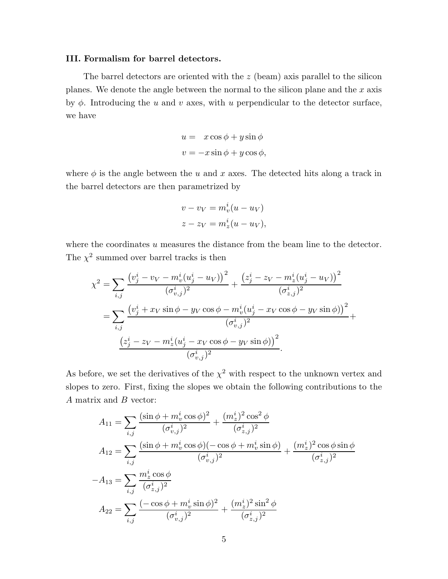### **III. Formalism for barrel detectors.**

The barrel detectors are oriented with the z (beam) axis parallel to the silicon planes. We denote the angle between the normal to the silicon plane and the  $x$  axis by  $\phi$ . Introducing the u and v axes, with u perpendicular to the detector surface, we have

$$
u = x \cos \phi + y \sin \phi
$$
  

$$
v = -x \sin \phi + y \cos \phi,
$$

where  $\phi$  is the angle between the u and x axes. The detected hits along a track in the barrel detectors are then parametrized by

$$
v - v_V = m_v^i (u - u_V)
$$
  

$$
z - z_V = m_z^i (u - u_V),
$$

where the coordinates  $u$  measures the distance from the beam line to the detector. The  $\chi^2$  summed over barrel tracks is then

$$
\chi^{2} = \sum_{i,j} \frac{\left(v_{j}^{i} - v_{V} - m_{v}^{i}(u_{j}^{i} - u_{V})\right)^{2}}{(\sigma_{v,j}^{i})^{2}} + \frac{\left(z_{j}^{i} - z_{V} - m_{z}^{i}(u_{j}^{i} - u_{V})\right)^{2}}{(\sigma_{z,j}^{i})^{2}}
$$

$$
= \sum_{i,j} \frac{\left(v_{j}^{i} + x_{V}\sin\phi - y_{V}\cos\phi - m_{v}^{i}(u_{j}^{i} - x_{V}\cos\phi - y_{V}\sin\phi)\right)^{2}}{(\sigma_{v,j}^{i})^{2}} + \frac{\left(z_{j}^{i} - z_{V} - m_{z}^{i}(u_{j}^{i} - x_{V}\cos\phi - y_{V}\sin\phi)\right)^{2}}{(\sigma_{v,j}^{i})^{2}}.
$$

As before, we set the derivatives of the  $\chi^2$  with respect to the unknown vertex and slopes to zero. First, fixing the slopes we obtain the following contributions to the A matrix and B vector:

$$
A_{11} = \sum_{i,j} \frac{(\sin \phi + m_v^i \cos \phi)^2}{(\sigma_{v,j}^i)^2} + \frac{(m_z^i)^2 \cos^2 \phi}{(\sigma_{z,j}^i)^2}
$$
  
\n
$$
A_{12} = \sum_{i,j} \frac{(\sin \phi + m_v^i \cos \phi)(-\cos \phi + m_v^i \sin \phi)}{(\sigma_{v,j}^i)^2} + \frac{(m_z^i)^2 \cos \phi \sin \phi}{(\sigma_{z,j}^i)^2}
$$
  
\n
$$
-A_{13} = \sum_{i,j} \frac{m_z^i \cos \phi}{(\sigma_{z,j}^i)^2}
$$
  
\n
$$
A_{22} = \sum_{i,j} \frac{(-\cos \phi + m_v^i \sin \phi)^2}{(\sigma_{v,j}^i)^2} + \frac{(m_z^i)^2 \sin^2 \phi}{(\sigma_{z,j}^i)^2}
$$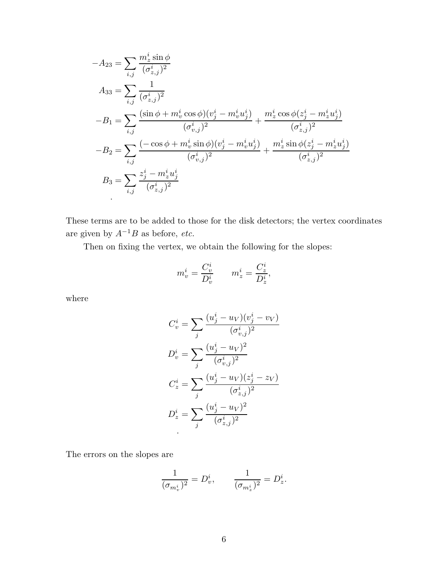$$
-A_{23} = \sum_{i,j} \frac{m_z^i \sin \phi}{(\sigma_{z,j}^i)^2}
$$
  
\n
$$
A_{33} = \sum_{i,j} \frac{1}{(\sigma_{z,j}^i)^2}
$$
  
\n
$$
-B_1 = \sum_{i,j} \frac{(\sin \phi + m_v^i \cos \phi)(v_j^i - m_v^i u_j^i)}{(\sigma_{v,j}^i)^2} + \frac{m_z^i \cos \phi(z_j^i - m_z^i u_j^i)}{(\sigma_{z,j}^i)^2}
$$
  
\n
$$
-B_2 = \sum_{i,j} \frac{(-\cos \phi + m_v^i \sin \phi)(v_j^i - m_v^i u_j^i)}{(\sigma_{v,j}^i)^2} + \frac{m_z^i \sin \phi(z_j^i - m_z^i u_j^i)}{(\sigma_{z,j}^i)^2}
$$
  
\n
$$
B_3 = \sum_{i,j} \frac{z_j^i - m_z^i u_j^i}{(\sigma_{z,j}^i)^2}
$$

These terms are to be added to those for the disk detectors; the vertex coordinates are given by  $A^{-1}B$  as before, *etc.* 

Then on fixing the vertex, we obtain the following for the slopes:

$$
m^i_v = \frac{C^i_v}{D^i_v} \qquad m^i_z = \frac{C^i_z}{D^i_z},
$$

where

$$
C_v^i = \sum_j \frac{(u_j^i - u_V)(v_j^i - v_V)}{(\sigma_{v,j}^i)^2}
$$

$$
D_v^i = \sum_j \frac{(u_j^i - u_V)^2}{(\sigma_{v,j}^i)^2}
$$

$$
C_z^i = \sum_j \frac{(u_j^i - u_V)(z_j^i - z_V)}{(\sigma_{z,j}^i)^2}
$$

$$
D_z^i = \sum_j \frac{(u_j^i - u_V)^2}{(\sigma_{z,j}^i)^2}
$$

The errors on the slopes are

$$
\frac{1}{(\sigma_{m_v^i})^2} = D_v^i, \qquad \frac{1}{(\sigma_{m_z^i})^2} = D_z^i.
$$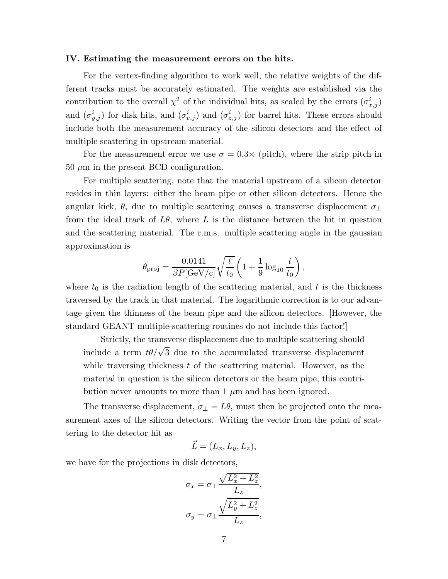#### **IV. Estimating the measurement errors on the hits.**

For the vertex-finding algorithm to work well, the relative weights of the different tracks must be accurately estimated. The weights are established via the contribution to the overall  $\chi^2$  of the individual hits, as scaled by the errors  $(\sigma^i_{x,j})$ and  $(\sigma_{y,j}^i)$  for disk hits, and  $(\sigma_{v,j}^i)$  and  $(\sigma_{z,j}^i)$  for barrel hits. These errors should include both the measurement accuracy of the silicon detectors and the effect of multiple scattering in upstream material.

For the measurement error we use  $\sigma = 0.3 \times$  (pitch), where the strip pitch in  $50 \mu m$  in the present BCD configuration.

For multiple scattering, note that the material upstream of a silicon detector resides in thin layers: either the beam pipe or other silicon detectors. Hence the angular kick,  $\theta$ , due to multiple scattering causes a transverse displacement  $\sigma_{\perp}$ from the ideal track of  $L\theta$ , where L is the distance between the hit in question and the scattering material. The r.m.s. multiple scattering angle in the gaussian approximation is

$$
\theta_{\rm proj} = \frac{0.0141}{\beta P[\rm{GeV/c}]}\sqrt{\frac{t}{t_0}} \left(1 + \frac{1}{9}\log_{10}\frac{t}{t_0}\right),\,
$$

where  $t_0$  is the radiation length of the scattering material, and  $t$  is the thickness traversed by the track in that material. The logarithmic correction is to our advantage given the thinness of the beam pipe and the silicon detectors. [However, the standard GEANT multiple-scattering routines do not include this factor!]

Strictly, the transverse displacement due to multiple scattering should include a term  $t\theta/\sqrt{3}$  due to the accumulated transverse displacement while traversing thickness  $t$  of the scattering material. However, as the material in question is the silicon detectors or the beam pipe, this contribution never amounts to more than  $1 \mu m$  and has been ignored.

The transverse displacement,  $\sigma_{\perp} = L\theta$ , must then be projected onto the measurement axes of the silicon detectors. Writing the vector from the point of scattering to the detector hit as

$$
\vec{L} = (L_x, L_y, L_z),
$$

we have for the projections in disk detectors,

$$
\sigma_x = \sigma_\perp \frac{\sqrt{L_x^2 + L_z^2}}{L_z},
$$

$$
\sigma_y = \sigma_\perp \frac{\sqrt{L_y^2 + L_z^2}}{L_z},
$$